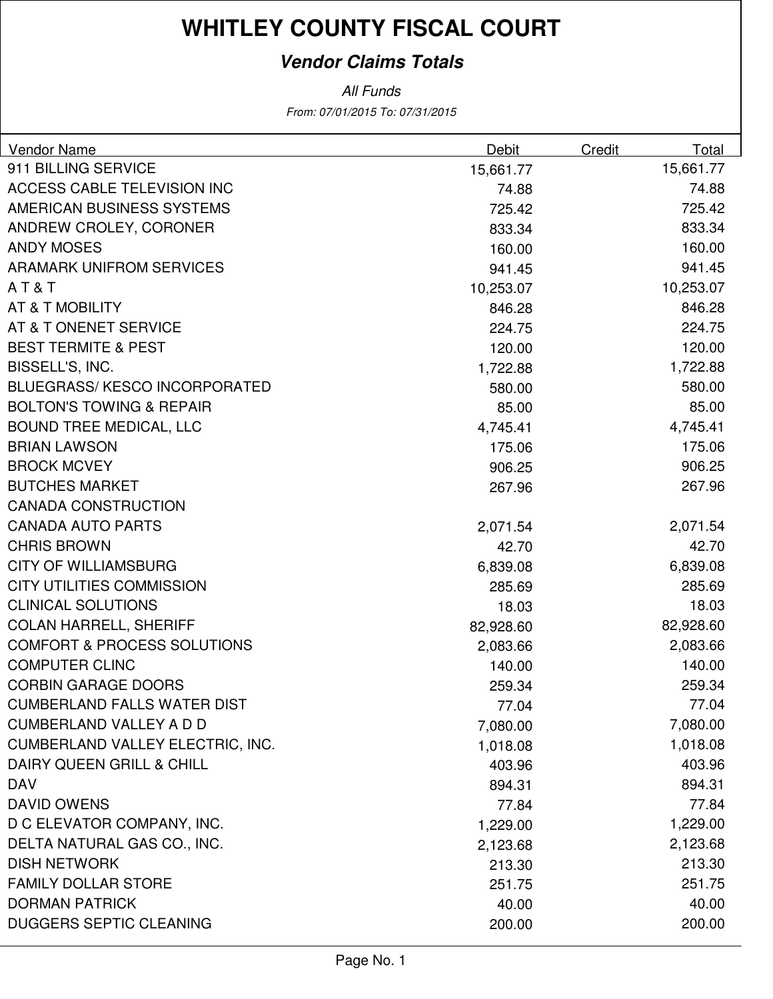#### **Vendor Claims Totals**

From: 07/01/2015 To: 07/31/2015 All Funds

| 911 BILLING SERVICE<br>15,661.77<br>15,661.77<br><b>ACCESS CABLE TELEVISION INC</b><br>74.88<br>74.88<br>AMERICAN BUSINESS SYSTEMS<br>725.42<br>725.42<br>ANDREW CROLEY, CORONER<br>833.34<br>833.34<br><b>ANDY MOSES</b><br>160.00<br>160.00<br><b>ARAMARK UNIFROM SERVICES</b><br>941.45<br>941.45<br>AT&T<br>10,253.07<br>10,253.07<br>AT & T MOBILITY<br>846.28<br>846.28<br>AT & T ONENET SERVICE<br>224.75<br>224.75<br><b>BEST TERMITE &amp; PEST</b><br>120.00<br>120.00<br>BISSELL'S, INC.<br>1,722.88<br>1,722.88<br><b>BLUEGRASS/KESCO INCORPORATED</b><br>580.00<br>580.00<br><b>BOLTON'S TOWING &amp; REPAIR</b><br>85.00<br>85.00<br><b>BOUND TREE MEDICAL, LLC</b><br>4,745.41<br>4,745.41<br><b>BRIAN LAWSON</b><br>175.06<br>175.06<br><b>BROCK MCVEY</b><br>906.25<br>906.25<br><b>BUTCHES MARKET</b><br>267.96<br>267.96<br><b>CANADA CONSTRUCTION</b><br><b>CANADA AUTO PARTS</b><br>2,071.54<br>2,071.54<br><b>CHRIS BROWN</b><br>42.70<br>42.70<br><b>CITY OF WILLIAMSBURG</b><br>6,839.08<br>6,839.08<br><b>CITY UTILITIES COMMISSION</b><br>285.69<br>285.69<br><b>CLINICAL SOLUTIONS</b><br>18.03<br>18.03<br><b>COLAN HARRELL, SHERIFF</b><br>82,928.60<br>82,928.60<br><b>COMFORT &amp; PROCESS SOLUTIONS</b><br>2,083.66<br>2,083.66<br><b>COMPUTER CLINC</b><br>140.00<br>140.00<br><b>CORBIN GARAGE DOORS</b><br>259.34<br>259.34<br>77.04<br><b>CUMBERLAND FALLS WATER DIST</b><br>77.04<br><b>CUMBERLAND VALLEY A D D</b><br>7,080.00<br>7,080.00<br><b>CUMBERLAND VALLEY ELECTRIC, INC.</b><br>1,018.08<br>1,018.08<br>DAIRY QUEEN GRILL & CHILL<br>403.96<br>403.96<br><b>DAV</b><br>894.31<br>894.31<br><b>DAVID OWENS</b><br>77.84<br>77.84<br>D C ELEVATOR COMPANY, INC.<br>1,229.00<br>1,229.00<br>DELTA NATURAL GAS CO., INC.<br>2,123.68<br>2,123.68<br><b>DISH NETWORK</b><br>213.30<br>213.30 | Vendor Name | Debit | Credit | Total |
|-----------------------------------------------------------------------------------------------------------------------------------------------------------------------------------------------------------------------------------------------------------------------------------------------------------------------------------------------------------------------------------------------------------------------------------------------------------------------------------------------------------------------------------------------------------------------------------------------------------------------------------------------------------------------------------------------------------------------------------------------------------------------------------------------------------------------------------------------------------------------------------------------------------------------------------------------------------------------------------------------------------------------------------------------------------------------------------------------------------------------------------------------------------------------------------------------------------------------------------------------------------------------------------------------------------------------------------------------------------------------------------------------------------------------------------------------------------------------------------------------------------------------------------------------------------------------------------------------------------------------------------------------------------------------------------------------------------------------------------------------------------------------------------------------------------------------------------------|-------------|-------|--------|-------|
|                                                                                                                                                                                                                                                                                                                                                                                                                                                                                                                                                                                                                                                                                                                                                                                                                                                                                                                                                                                                                                                                                                                                                                                                                                                                                                                                                                                                                                                                                                                                                                                                                                                                                                                                                                                                                                         |             |       |        |       |
|                                                                                                                                                                                                                                                                                                                                                                                                                                                                                                                                                                                                                                                                                                                                                                                                                                                                                                                                                                                                                                                                                                                                                                                                                                                                                                                                                                                                                                                                                                                                                                                                                                                                                                                                                                                                                                         |             |       |        |       |
|                                                                                                                                                                                                                                                                                                                                                                                                                                                                                                                                                                                                                                                                                                                                                                                                                                                                                                                                                                                                                                                                                                                                                                                                                                                                                                                                                                                                                                                                                                                                                                                                                                                                                                                                                                                                                                         |             |       |        |       |
|                                                                                                                                                                                                                                                                                                                                                                                                                                                                                                                                                                                                                                                                                                                                                                                                                                                                                                                                                                                                                                                                                                                                                                                                                                                                                                                                                                                                                                                                                                                                                                                                                                                                                                                                                                                                                                         |             |       |        |       |
|                                                                                                                                                                                                                                                                                                                                                                                                                                                                                                                                                                                                                                                                                                                                                                                                                                                                                                                                                                                                                                                                                                                                                                                                                                                                                                                                                                                                                                                                                                                                                                                                                                                                                                                                                                                                                                         |             |       |        |       |
|                                                                                                                                                                                                                                                                                                                                                                                                                                                                                                                                                                                                                                                                                                                                                                                                                                                                                                                                                                                                                                                                                                                                                                                                                                                                                                                                                                                                                                                                                                                                                                                                                                                                                                                                                                                                                                         |             |       |        |       |
|                                                                                                                                                                                                                                                                                                                                                                                                                                                                                                                                                                                                                                                                                                                                                                                                                                                                                                                                                                                                                                                                                                                                                                                                                                                                                                                                                                                                                                                                                                                                                                                                                                                                                                                                                                                                                                         |             |       |        |       |
|                                                                                                                                                                                                                                                                                                                                                                                                                                                                                                                                                                                                                                                                                                                                                                                                                                                                                                                                                                                                                                                                                                                                                                                                                                                                                                                                                                                                                                                                                                                                                                                                                                                                                                                                                                                                                                         |             |       |        |       |
|                                                                                                                                                                                                                                                                                                                                                                                                                                                                                                                                                                                                                                                                                                                                                                                                                                                                                                                                                                                                                                                                                                                                                                                                                                                                                                                                                                                                                                                                                                                                                                                                                                                                                                                                                                                                                                         |             |       |        |       |
|                                                                                                                                                                                                                                                                                                                                                                                                                                                                                                                                                                                                                                                                                                                                                                                                                                                                                                                                                                                                                                                                                                                                                                                                                                                                                                                                                                                                                                                                                                                                                                                                                                                                                                                                                                                                                                         |             |       |        |       |
|                                                                                                                                                                                                                                                                                                                                                                                                                                                                                                                                                                                                                                                                                                                                                                                                                                                                                                                                                                                                                                                                                                                                                                                                                                                                                                                                                                                                                                                                                                                                                                                                                                                                                                                                                                                                                                         |             |       |        |       |
|                                                                                                                                                                                                                                                                                                                                                                                                                                                                                                                                                                                                                                                                                                                                                                                                                                                                                                                                                                                                                                                                                                                                                                                                                                                                                                                                                                                                                                                                                                                                                                                                                                                                                                                                                                                                                                         |             |       |        |       |
|                                                                                                                                                                                                                                                                                                                                                                                                                                                                                                                                                                                                                                                                                                                                                                                                                                                                                                                                                                                                                                                                                                                                                                                                                                                                                                                                                                                                                                                                                                                                                                                                                                                                                                                                                                                                                                         |             |       |        |       |
|                                                                                                                                                                                                                                                                                                                                                                                                                                                                                                                                                                                                                                                                                                                                                                                                                                                                                                                                                                                                                                                                                                                                                                                                                                                                                                                                                                                                                                                                                                                                                                                                                                                                                                                                                                                                                                         |             |       |        |       |
|                                                                                                                                                                                                                                                                                                                                                                                                                                                                                                                                                                                                                                                                                                                                                                                                                                                                                                                                                                                                                                                                                                                                                                                                                                                                                                                                                                                                                                                                                                                                                                                                                                                                                                                                                                                                                                         |             |       |        |       |
|                                                                                                                                                                                                                                                                                                                                                                                                                                                                                                                                                                                                                                                                                                                                                                                                                                                                                                                                                                                                                                                                                                                                                                                                                                                                                                                                                                                                                                                                                                                                                                                                                                                                                                                                                                                                                                         |             |       |        |       |
|                                                                                                                                                                                                                                                                                                                                                                                                                                                                                                                                                                                                                                                                                                                                                                                                                                                                                                                                                                                                                                                                                                                                                                                                                                                                                                                                                                                                                                                                                                                                                                                                                                                                                                                                                                                                                                         |             |       |        |       |
|                                                                                                                                                                                                                                                                                                                                                                                                                                                                                                                                                                                                                                                                                                                                                                                                                                                                                                                                                                                                                                                                                                                                                                                                                                                                                                                                                                                                                                                                                                                                                                                                                                                                                                                                                                                                                                         |             |       |        |       |
|                                                                                                                                                                                                                                                                                                                                                                                                                                                                                                                                                                                                                                                                                                                                                                                                                                                                                                                                                                                                                                                                                                                                                                                                                                                                                                                                                                                                                                                                                                                                                                                                                                                                                                                                                                                                                                         |             |       |        |       |
|                                                                                                                                                                                                                                                                                                                                                                                                                                                                                                                                                                                                                                                                                                                                                                                                                                                                                                                                                                                                                                                                                                                                                                                                                                                                                                                                                                                                                                                                                                                                                                                                                                                                                                                                                                                                                                         |             |       |        |       |
|                                                                                                                                                                                                                                                                                                                                                                                                                                                                                                                                                                                                                                                                                                                                                                                                                                                                                                                                                                                                                                                                                                                                                                                                                                                                                                                                                                                                                                                                                                                                                                                                                                                                                                                                                                                                                                         |             |       |        |       |
|                                                                                                                                                                                                                                                                                                                                                                                                                                                                                                                                                                                                                                                                                                                                                                                                                                                                                                                                                                                                                                                                                                                                                                                                                                                                                                                                                                                                                                                                                                                                                                                                                                                                                                                                                                                                                                         |             |       |        |       |
|                                                                                                                                                                                                                                                                                                                                                                                                                                                                                                                                                                                                                                                                                                                                                                                                                                                                                                                                                                                                                                                                                                                                                                                                                                                                                                                                                                                                                                                                                                                                                                                                                                                                                                                                                                                                                                         |             |       |        |       |
|                                                                                                                                                                                                                                                                                                                                                                                                                                                                                                                                                                                                                                                                                                                                                                                                                                                                                                                                                                                                                                                                                                                                                                                                                                                                                                                                                                                                                                                                                                                                                                                                                                                                                                                                                                                                                                         |             |       |        |       |
|                                                                                                                                                                                                                                                                                                                                                                                                                                                                                                                                                                                                                                                                                                                                                                                                                                                                                                                                                                                                                                                                                                                                                                                                                                                                                                                                                                                                                                                                                                                                                                                                                                                                                                                                                                                                                                         |             |       |        |       |
|                                                                                                                                                                                                                                                                                                                                                                                                                                                                                                                                                                                                                                                                                                                                                                                                                                                                                                                                                                                                                                                                                                                                                                                                                                                                                                                                                                                                                                                                                                                                                                                                                                                                                                                                                                                                                                         |             |       |        |       |
|                                                                                                                                                                                                                                                                                                                                                                                                                                                                                                                                                                                                                                                                                                                                                                                                                                                                                                                                                                                                                                                                                                                                                                                                                                                                                                                                                                                                                                                                                                                                                                                                                                                                                                                                                                                                                                         |             |       |        |       |
|                                                                                                                                                                                                                                                                                                                                                                                                                                                                                                                                                                                                                                                                                                                                                                                                                                                                                                                                                                                                                                                                                                                                                                                                                                                                                                                                                                                                                                                                                                                                                                                                                                                                                                                                                                                                                                         |             |       |        |       |
|                                                                                                                                                                                                                                                                                                                                                                                                                                                                                                                                                                                                                                                                                                                                                                                                                                                                                                                                                                                                                                                                                                                                                                                                                                                                                                                                                                                                                                                                                                                                                                                                                                                                                                                                                                                                                                         |             |       |        |       |
|                                                                                                                                                                                                                                                                                                                                                                                                                                                                                                                                                                                                                                                                                                                                                                                                                                                                                                                                                                                                                                                                                                                                                                                                                                                                                                                                                                                                                                                                                                                                                                                                                                                                                                                                                                                                                                         |             |       |        |       |
|                                                                                                                                                                                                                                                                                                                                                                                                                                                                                                                                                                                                                                                                                                                                                                                                                                                                                                                                                                                                                                                                                                                                                                                                                                                                                                                                                                                                                                                                                                                                                                                                                                                                                                                                                                                                                                         |             |       |        |       |
|                                                                                                                                                                                                                                                                                                                                                                                                                                                                                                                                                                                                                                                                                                                                                                                                                                                                                                                                                                                                                                                                                                                                                                                                                                                                                                                                                                                                                                                                                                                                                                                                                                                                                                                                                                                                                                         |             |       |        |       |
|                                                                                                                                                                                                                                                                                                                                                                                                                                                                                                                                                                                                                                                                                                                                                                                                                                                                                                                                                                                                                                                                                                                                                                                                                                                                                                                                                                                                                                                                                                                                                                                                                                                                                                                                                                                                                                         |             |       |        |       |
|                                                                                                                                                                                                                                                                                                                                                                                                                                                                                                                                                                                                                                                                                                                                                                                                                                                                                                                                                                                                                                                                                                                                                                                                                                                                                                                                                                                                                                                                                                                                                                                                                                                                                                                                                                                                                                         |             |       |        |       |
|                                                                                                                                                                                                                                                                                                                                                                                                                                                                                                                                                                                                                                                                                                                                                                                                                                                                                                                                                                                                                                                                                                                                                                                                                                                                                                                                                                                                                                                                                                                                                                                                                                                                                                                                                                                                                                         |             |       |        |       |
|                                                                                                                                                                                                                                                                                                                                                                                                                                                                                                                                                                                                                                                                                                                                                                                                                                                                                                                                                                                                                                                                                                                                                                                                                                                                                                                                                                                                                                                                                                                                                                                                                                                                                                                                                                                                                                         |             |       |        |       |
| <b>FAMILY DOLLAR STORE</b><br>251.75<br>251.75                                                                                                                                                                                                                                                                                                                                                                                                                                                                                                                                                                                                                                                                                                                                                                                                                                                                                                                                                                                                                                                                                                                                                                                                                                                                                                                                                                                                                                                                                                                                                                                                                                                                                                                                                                                          |             |       |        |       |
| <b>DORMAN PATRICK</b><br>40.00<br>40.00                                                                                                                                                                                                                                                                                                                                                                                                                                                                                                                                                                                                                                                                                                                                                                                                                                                                                                                                                                                                                                                                                                                                                                                                                                                                                                                                                                                                                                                                                                                                                                                                                                                                                                                                                                                                 |             |       |        |       |
| DUGGERS SEPTIC CLEANING<br>200.00<br>200.00                                                                                                                                                                                                                                                                                                                                                                                                                                                                                                                                                                                                                                                                                                                                                                                                                                                                                                                                                                                                                                                                                                                                                                                                                                                                                                                                                                                                                                                                                                                                                                                                                                                                                                                                                                                             |             |       |        |       |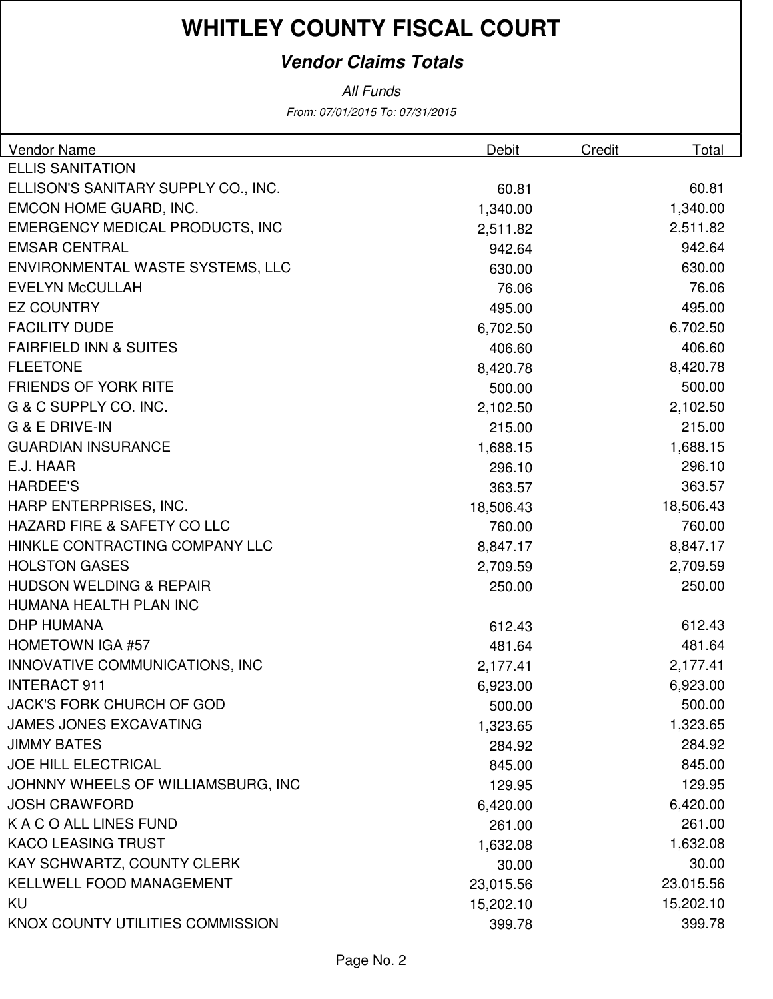#### **Vendor Claims Totals**

All Funds

From: 07/01/2015 To: 07/31/2015

| <b>Vendor Name</b>                     | Debit     | Credit | Total     |
|----------------------------------------|-----------|--------|-----------|
| <b>ELLIS SANITATION</b>                |           |        |           |
| ELLISON'S SANITARY SUPPLY CO., INC.    | 60.81     |        | 60.81     |
| EMCON HOME GUARD, INC.                 | 1,340.00  |        | 1,340.00  |
| <b>EMERGENCY MEDICAL PRODUCTS, INC</b> | 2,511.82  |        | 2,511.82  |
| <b>EMSAR CENTRAL</b>                   | 942.64    |        | 942.64    |
| ENVIRONMENTAL WASTE SYSTEMS, LLC       | 630.00    |        | 630.00    |
| <b>EVELYN McCULLAH</b>                 | 76.06     |        | 76.06     |
| <b>EZ COUNTRY</b>                      | 495.00    |        | 495.00    |
| <b>FACILITY DUDE</b>                   | 6,702.50  |        | 6,702.50  |
| <b>FAIRFIELD INN &amp; SUITES</b>      | 406.60    |        | 406.60    |
| <b>FLEETONE</b>                        | 8,420.78  |        | 8,420.78  |
| <b>FRIENDS OF YORK RITE</b>            | 500.00    |        | 500.00    |
| G & C SUPPLY CO. INC.                  | 2,102.50  |        | 2,102.50  |
| <b>G &amp; E DRIVE-IN</b>              | 215.00    |        | 215.00    |
| <b>GUARDIAN INSURANCE</b>              | 1,688.15  |        | 1,688.15  |
| E.J. HAAR                              | 296.10    |        | 296.10    |
| <b>HARDEE'S</b>                        | 363.57    |        | 363.57    |
| HARP ENTERPRISES, INC.                 | 18,506.43 |        | 18,506.43 |
| <b>HAZARD FIRE &amp; SAFETY CO LLC</b> | 760.00    |        | 760.00    |
| HINKLE CONTRACTING COMPANY LLC         | 8,847.17  |        | 8,847.17  |
| <b>HOLSTON GASES</b>                   | 2,709.59  |        | 2,709.59  |
| <b>HUDSON WELDING &amp; REPAIR</b>     | 250.00    |        | 250.00    |
| HUMANA HEALTH PLAN INC                 |           |        |           |
| <b>DHP HUMANA</b>                      | 612.43    |        | 612.43    |
| <b>HOMETOWN IGA #57</b>                | 481.64    |        | 481.64    |
| INNOVATIVE COMMUNICATIONS, INC         | 2,177.41  |        | 2,177.41  |
| <b>INTERACT 911</b>                    | 6,923.00  |        | 6,923.00  |
| JACK'S FORK CHURCH OF GOD              | 500.00    |        | 500.00    |
| <b>JAMES JONES EXCAVATING</b>          | 1,323.65  |        | 1,323.65  |
| <b>JIMMY BATES</b>                     | 284.92    |        | 284.92    |
| JOE HILL ELECTRICAL                    | 845.00    |        | 845.00    |
| JOHNNY WHEELS OF WILLIAMSBURG, INC     | 129.95    |        | 129.95    |
| <b>JOSH CRAWFORD</b>                   | 6,420.00  |        | 6,420.00  |
| K A C O ALL LINES FUND                 | 261.00    |        | 261.00    |
| <b>KACO LEASING TRUST</b>              | 1,632.08  |        | 1,632.08  |
| KAY SCHWARTZ, COUNTY CLERK             | 30.00     |        | 30.00     |
| <b>KELLWELL FOOD MANAGEMENT</b>        | 23,015.56 |        | 23,015.56 |
| KU                                     | 15,202.10 |        | 15,202.10 |
| KNOX COUNTY UTILITIES COMMISSION       | 399.78    |        | 399.78    |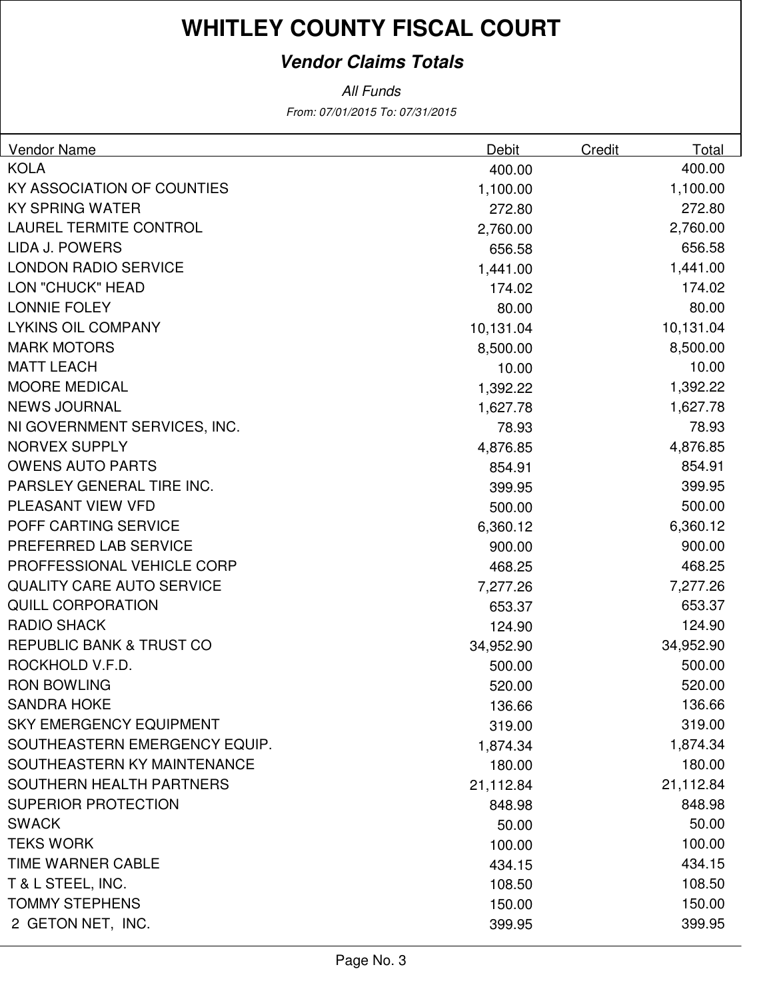#### **Vendor Claims Totals**

From: 07/01/2015 To: 07/31/2015 All Funds

| <b>Vendor Name</b>                  | <b>Debit</b> | Credit | Total     |
|-------------------------------------|--------------|--------|-----------|
| <b>KOLA</b>                         | 400.00       |        | 400.00    |
| KY ASSOCIATION OF COUNTIES          | 1,100.00     |        | 1,100.00  |
| <b>KY SPRING WATER</b>              | 272.80       |        | 272.80    |
| <b>LAUREL TERMITE CONTROL</b>       | 2,760.00     |        | 2,760.00  |
| LIDA J. POWERS                      | 656.58       |        | 656.58    |
| <b>LONDON RADIO SERVICE</b>         | 1,441.00     |        | 1,441.00  |
| <b>LON "CHUCK" HEAD</b>             | 174.02       |        | 174.02    |
| <b>LONNIE FOLEY</b>                 | 80.00        |        | 80.00     |
| <b>LYKINS OIL COMPANY</b>           | 10,131.04    |        | 10,131.04 |
| <b>MARK MOTORS</b>                  | 8,500.00     |        | 8,500.00  |
| <b>MATT LEACH</b>                   | 10.00        |        | 10.00     |
| <b>MOORE MEDICAL</b>                | 1,392.22     |        | 1,392.22  |
| <b>NEWS JOURNAL</b>                 | 1,627.78     |        | 1,627.78  |
| NI GOVERNMENT SERVICES, INC.        | 78.93        |        | 78.93     |
| <b>NORVEX SUPPLY</b>                | 4,876.85     |        | 4,876.85  |
| <b>OWENS AUTO PARTS</b>             | 854.91       |        | 854.91    |
| PARSLEY GENERAL TIRE INC.           | 399.95       |        | 399.95    |
| PLEASANT VIEW VFD                   | 500.00       |        | 500.00    |
| POFF CARTING SERVICE                | 6,360.12     |        | 6,360.12  |
| PREFERRED LAB SERVICE               | 900.00       |        | 900.00    |
| PROFFESSIONAL VEHICLE CORP          | 468.25       |        | 468.25    |
| <b>QUALITY CARE AUTO SERVICE</b>    | 7,277.26     |        | 7,277.26  |
| <b>QUILL CORPORATION</b>            | 653.37       |        | 653.37    |
| <b>RADIO SHACK</b>                  | 124.90       |        | 124.90    |
| <b>REPUBLIC BANK &amp; TRUST CO</b> | 34,952.90    |        | 34,952.90 |
| ROCKHOLD V.F.D.                     | 500.00       |        | 500.00    |
| <b>RON BOWLING</b>                  | 520.00       |        | 520.00    |
| <b>SANDRA HOKE</b>                  | 136.66       |        | 136.66    |
| <b>SKY EMERGENCY EQUIPMENT</b>      | 319.00       |        | 319.00    |
| SOUTHEASTERN EMERGENCY EQUIP.       | 1,874.34     |        | 1,874.34  |
| SOUTHEASTERN KY MAINTENANCE         | 180.00       |        | 180.00    |
| SOUTHERN HEALTH PARTNERS            | 21,112.84    |        | 21,112.84 |
| <b>SUPERIOR PROTECTION</b>          | 848.98       |        | 848.98    |
| <b>SWACK</b>                        | 50.00        |        | 50.00     |
| <b>TEKS WORK</b>                    | 100.00       |        | 100.00    |
| <b>TIME WARNER CABLE</b>            | 434.15       |        | 434.15    |
| T & L STEEL, INC.                   | 108.50       |        | 108.50    |
| <b>TOMMY STEPHENS</b>               | 150.00       |        | 150.00    |
| 2 GETON NET, INC.                   | 399.95       |        | 399.95    |